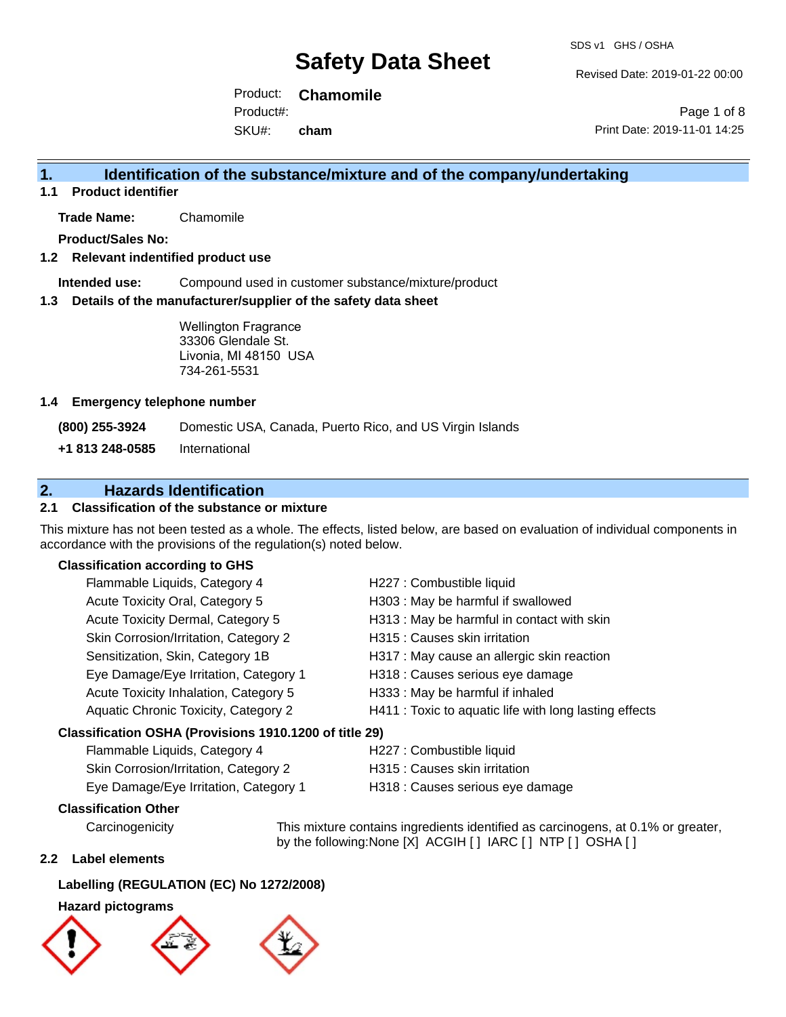Revised Date: 2019-01-22 00:00

Product: **Chamomile** SKU#: Product#: **cham**

Page 1 of 8 Print Date: 2019-11-01 14:25

### **1. Identification of the substance/mixture and of the company/undertaking**

**1.1 Product identifier**

**Trade Name:** Chamomile

**Product/Sales No:**

#### **1.2 Relevant indentified product use**

**Intended use:** Compound used in customer substance/mixture/product

#### **1.3 Details of the manufacturer/supplier of the safety data sheet**

Wellington Fragrance 33306 Glendale St. Livonia, MI 48150 USA 734-261-5531

#### **1.4 Emergency telephone number**

**(800) 255-3924** Domestic USA, Canada, Puerto Rico, and US Virgin Islands

**+1 813 248-0585** International

### **2. Hazards Identification**

#### **2.1 Classification of the substance or mixture**

This mixture has not been tested as a whole. The effects, listed below, are based on evaluation of individual components in accordance with the provisions of the regulation(s) noted below.

#### **Classification according to GHS**

| Flammable Liquids, Category 4                          | H227 : Combustible liquid                              |
|--------------------------------------------------------|--------------------------------------------------------|
| Acute Toxicity Oral, Category 5                        | H303 : May be harmful if swallowed                     |
| Acute Toxicity Dermal, Category 5                      | H313 : May be harmful in contact with skin             |
| Skin Corrosion/Irritation, Category 2                  | H315 : Causes skin irritation                          |
| Sensitization, Skin, Category 1B                       | H317 : May cause an allergic skin reaction             |
| Eye Damage/Eye Irritation, Category 1                  | H318 : Causes serious eye damage                       |
| Acute Toxicity Inhalation, Category 5                  | H333: May be harmful if inhaled                        |
| Aquatic Chronic Toxicity, Category 2                   | H411 : Toxic to aquatic life with long lasting effects |
| Classification OSHA (Provisions 1910.1200 of title 29) |                                                        |
| $E$ lommoble Liquide Cotogon, $\Lambda$                | H007 · Combustible liquid                              |

# Flammable Liquids, Category 4 H227 : Combustible liquid

| Skin Corrosion/Irritation, Category 2 | H315 : Causes skin irritation    |
|---------------------------------------|----------------------------------|
| Eye Damage/Eye Irritation, Category 1 | H318 : Causes serious eye damage |

#### **Classification Other**

Carcinogenicity This mixture contains ingredients identified as carcinogens, at 0.1% or greater, by the following:None [X] ACGIH [] IARC [] NTP [] OSHA []

#### **2.2 Label elements**

#### **Labelling (REGULATION (EC) No 1272/2008)**

#### **Hazard pictograms**





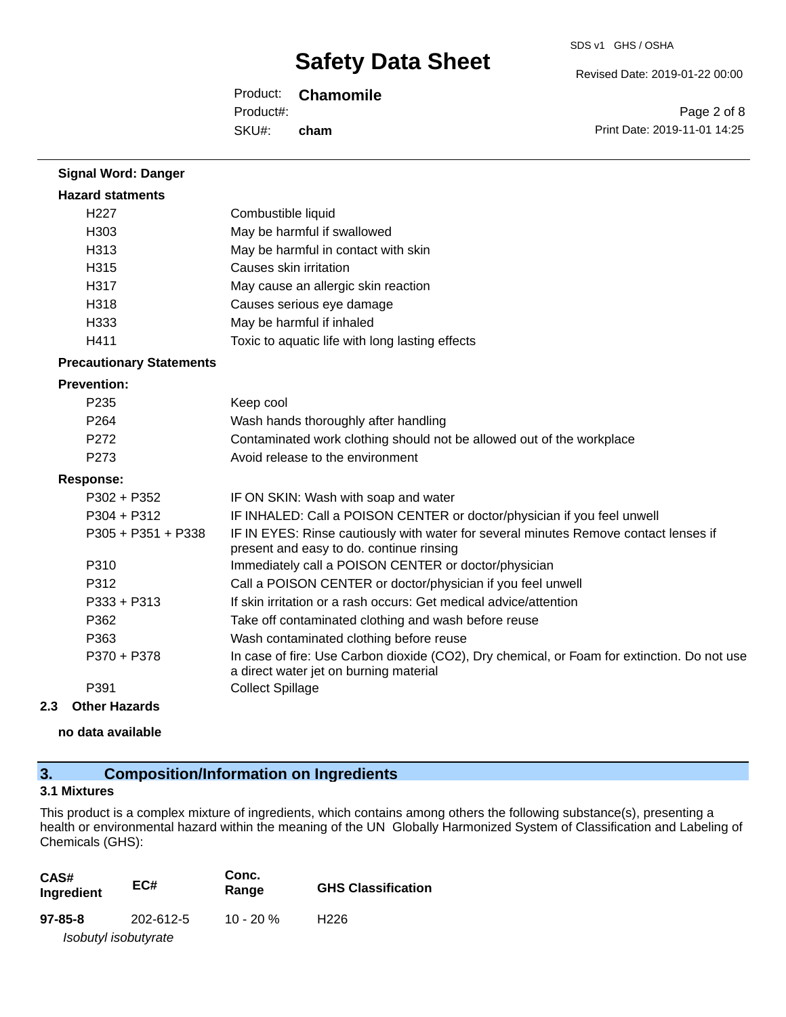SDS v1 GHS / OSHA

Revised Date: 2019-01-22 00:00

Product: **Chamomile** SKU#: Product#: **cham**

Page 2 of 8 Print Date: 2019-11-01 14:25

| <b>Signal Word: Danger</b>      |                                                                                                                                       |
|---------------------------------|---------------------------------------------------------------------------------------------------------------------------------------|
| <b>Hazard statments</b>         |                                                                                                                                       |
| H <sub>227</sub>                | Combustible liquid                                                                                                                    |
| H <sub>303</sub>                | May be harmful if swallowed                                                                                                           |
| H <sub>3</sub> 13               | May be harmful in contact with skin                                                                                                   |
| H315                            | Causes skin irritation                                                                                                                |
| H317                            | May cause an allergic skin reaction                                                                                                   |
| H318                            | Causes serious eye damage                                                                                                             |
| H333                            | May be harmful if inhaled                                                                                                             |
| H411                            | Toxic to aquatic life with long lasting effects                                                                                       |
| <b>Precautionary Statements</b> |                                                                                                                                       |
| <b>Prevention:</b>              |                                                                                                                                       |
| P235                            | Keep cool                                                                                                                             |
| P <sub>264</sub>                | Wash hands thoroughly after handling                                                                                                  |
| P272                            | Contaminated work clothing should not be allowed out of the workplace                                                                 |
| P273                            | Avoid release to the environment                                                                                                      |
| <b>Response:</b>                |                                                                                                                                       |
| P302 + P352                     | IF ON SKIN: Wash with soap and water                                                                                                  |
| P304 + P312                     | IF INHALED: Call a POISON CENTER or doctor/physician if you feel unwell                                                               |
| P305 + P351 + P338              | IF IN EYES: Rinse cautiously with water for several minutes Remove contact lenses if<br>present and easy to do. continue rinsing      |
| P310                            | Immediately call a POISON CENTER or doctor/physician                                                                                  |
| P312                            | Call a POISON CENTER or doctor/physician if you feel unwell                                                                           |
| $P333 + P313$                   | If skin irritation or a rash occurs: Get medical advice/attention                                                                     |
| P362                            | Take off contaminated clothing and wash before reuse                                                                                  |
| P363                            | Wash contaminated clothing before reuse                                                                                               |
| P370 + P378                     | In case of fire: Use Carbon dioxide (CO2), Dry chemical, or Foam for extinction. Do not use<br>a direct water jet on burning material |
| P391                            | <b>Collect Spillage</b>                                                                                                               |

#### **2.3 Other Hazards**

**no data available**

# **3. Composition/Information on Ingredients**

### **3.1 Mixtures**

This product is a complex mixture of ingredients, which contains among others the following substance(s), presenting a health or environmental hazard within the meaning of the UN Globally Harmonized System of Classification and Labeling of Chemicals (GHS):

| CAS#<br>Ingredient | EC#                  | Conc.<br>Range | <b>GHS Classification</b> |
|--------------------|----------------------|----------------|---------------------------|
| $97 - 85 - 8$      | 202-612-5            | 10 - 20 $\%$   | H <sub>226</sub>          |
|                    | Isobutyl isobutyrate |                |                           |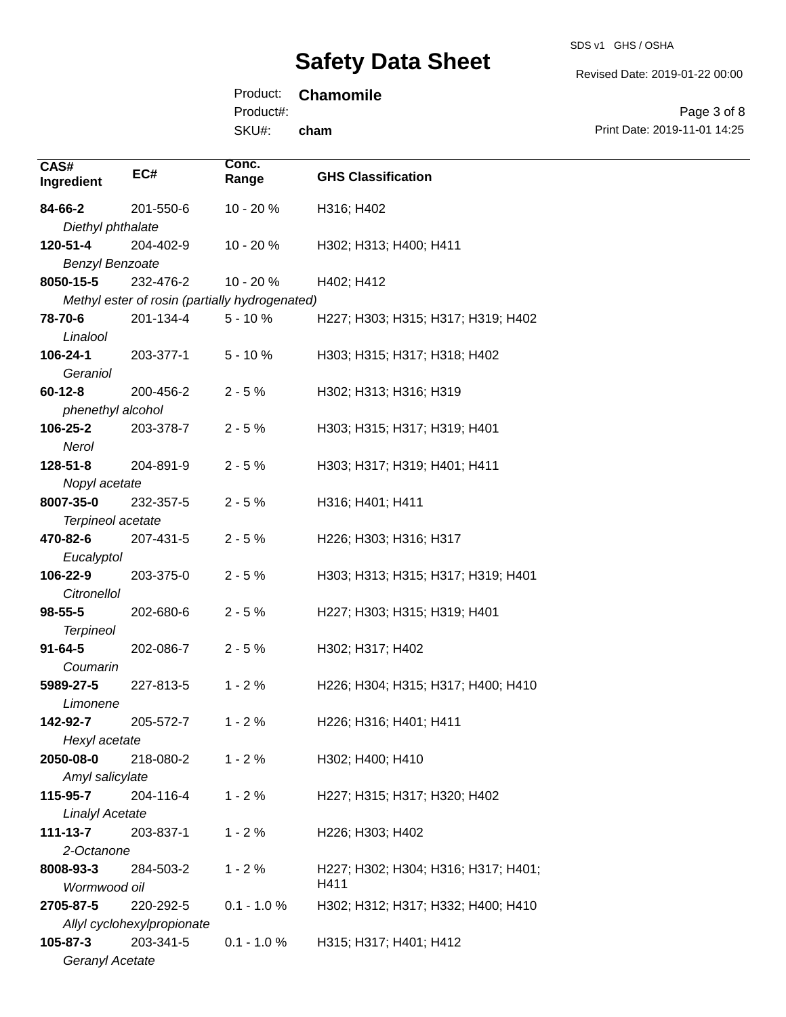Revised Date: 2019-01-22 00:00

# Product: **Chamomile**

Product#:

SKU#: **cham**

Page 3 of 8 Print Date: 2019-11-01 14:25

| CAS#                   |                            | Conc.                                          |                                     |
|------------------------|----------------------------|------------------------------------------------|-------------------------------------|
| Ingredient             | EC#                        | Range                                          | <b>GHS Classification</b>           |
| 84-66-2                | 201-550-6                  | 10 - 20 %                                      | H316; H402                          |
| Diethyl phthalate      |                            |                                                |                                     |
| 120-51-4               | 204-402-9                  | 10 - 20 %                                      | H302; H313; H400; H411              |
| <b>Benzyl Benzoate</b> |                            |                                                |                                     |
| 8050-15-5              | 232-476-2                  | 10 - 20 %                                      | H402; H412                          |
|                        |                            | Methyl ester of rosin (partially hydrogenated) |                                     |
| 78-70-6                | 201-134-4                  | $5 - 10%$                                      | H227; H303; H315; H317; H319; H402  |
| Linalool               |                            |                                                |                                     |
| 106-24-1               | 203-377-1                  | $5 - 10%$                                      | H303; H315; H317; H318; H402        |
| Geraniol               |                            |                                                |                                     |
| $60 - 12 - 8$          | 200-456-2                  | $2 - 5%$                                       | H302; H313; H316; H319              |
| phenethyl alcohol      |                            |                                                |                                     |
| 106-25-2               | 203-378-7                  | $2 - 5%$                                       | H303; H315; H317; H319; H401        |
| Nerol                  |                            |                                                |                                     |
| $128 - 51 - 8$         | 204-891-9                  | $2 - 5%$                                       | H303; H317; H319; H401; H411        |
| Nopyl acetate          |                            |                                                |                                     |
| 8007-35-0              | 232-357-5                  | $2 - 5%$                                       | H316; H401; H411                    |
| Terpineol acetate      |                            |                                                |                                     |
| 470-82-6               | 207-431-5                  | $2 - 5%$                                       | H226; H303; H316; H317              |
| Eucalyptol<br>106-22-9 | 203-375-0                  | $2 - 5%$                                       | H303; H313; H315; H317; H319; H401  |
| Citronellol            |                            |                                                |                                     |
| 98-55-5                | 202-680-6                  | $2 - 5%$                                       | H227; H303; H315; H319; H401        |
| <b>Terpineol</b>       |                            |                                                |                                     |
| $91 - 64 - 5$          | 202-086-7                  | $2 - 5%$                                       | H302; H317; H402                    |
| Coumarin               |                            |                                                |                                     |
| 5989-27-5              | 227-813-5                  | $1 - 2%$                                       | H226; H304; H315; H317; H400; H410  |
| Limonene               |                            |                                                |                                     |
| 142-92-7               | 205-572-7                  | $1 - 2%$                                       | H226; H316; H401; H411              |
| Hexyl acetate          |                            |                                                |                                     |
| 2050-08-0              | 218-080-2                  | $1 - 2%$                                       | H302; H400; H410                    |
| Amyl salicylate        |                            |                                                |                                     |
| 115-95-7               | 204-116-4                  | $1 - 2%$                                       | H227; H315; H317; H320; H402        |
| <b>Linalyl Acetate</b> |                            |                                                |                                     |
| $111 - 13 - 7$         | 203-837-1                  | $1 - 2%$                                       | H226; H303; H402                    |
| 2-Octanone             |                            |                                                |                                     |
| 8008-93-3              | 284-503-2                  | $1 - 2%$                                       | H227; H302; H304; H316; H317; H401; |
| Wormwood oil           |                            |                                                | H411                                |
| 2705-87-5              | 220-292-5                  | $0.1 - 1.0 %$                                  | H302; H312; H317; H332; H400; H410  |
|                        | Allyl cyclohexylpropionate |                                                |                                     |
| 105-87-3               | 203-341-5                  | $0.1 - 1.0 %$                                  | H315; H317; H401; H412              |
| Geranyl Acetate        |                            |                                                |                                     |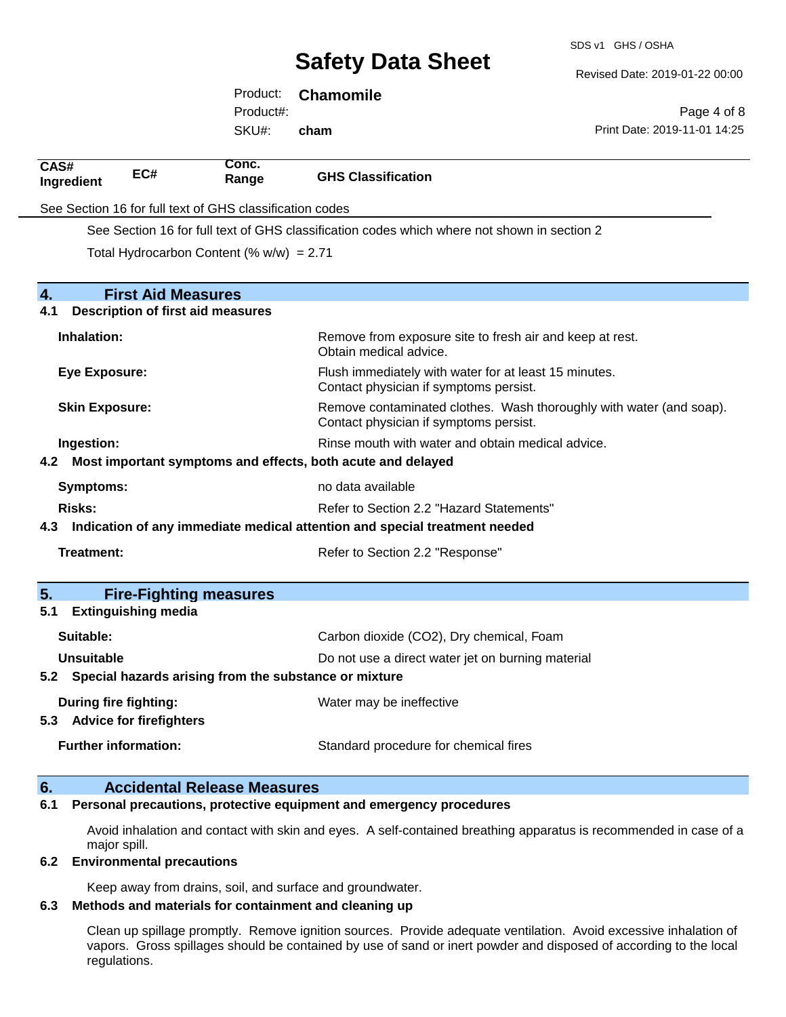SDS v1 GHS / OSHA

Revised Date: 2019-01-22 00:00

|                       |                                          | Product:                                                 | <b>Chamomile</b>                                                           |                                                                                                               |
|-----------------------|------------------------------------------|----------------------------------------------------------|----------------------------------------------------------------------------|---------------------------------------------------------------------------------------------------------------|
|                       |                                          | Product#:                                                |                                                                            | Page 4 of 8                                                                                                   |
|                       |                                          | SKU#:                                                    | cham                                                                       | Print Date: 2019-11-01 14:25                                                                                  |
| CAS#<br>Ingredient    | EC#                                      | Conc.<br>Range                                           | <b>GHS Classification</b>                                                  |                                                                                                               |
|                       |                                          | See Section 16 for full text of GHS classification codes |                                                                            |                                                                                                               |
|                       |                                          |                                                          |                                                                            | See Section 16 for full text of GHS classification codes which where not shown in section 2                   |
|                       |                                          | Total Hydrocarbon Content (% $w/w$ ) = 2.71              |                                                                            |                                                                                                               |
|                       |                                          |                                                          |                                                                            |                                                                                                               |
| 4.                    | <b>First Aid Measures</b>                |                                                          |                                                                            |                                                                                                               |
| 4.1                   | <b>Description of first aid measures</b> |                                                          |                                                                            |                                                                                                               |
| Inhalation:           |                                          |                                                          | Obtain medical advice.                                                     | Remove from exposure site to fresh air and keep at rest.                                                      |
| <b>Eye Exposure:</b>  |                                          |                                                          |                                                                            | Flush immediately with water for at least 15 minutes.<br>Contact physician if symptoms persist.               |
| <b>Skin Exposure:</b> |                                          |                                                          |                                                                            | Remove contaminated clothes. Wash thoroughly with water (and soap).<br>Contact physician if symptoms persist. |
| Ingestion:            |                                          |                                                          |                                                                            | Rinse mouth with water and obtain medical advice.                                                             |
| 4.2                   |                                          |                                                          | Most important symptoms and effects, both acute and delayed                |                                                                                                               |
| Symptoms:             |                                          |                                                          | no data available                                                          |                                                                                                               |
| <b>Risks:</b>         |                                          |                                                          |                                                                            | Refer to Section 2.2 "Hazard Statements"                                                                      |
| 4.3                   |                                          |                                                          | Indication of any immediate medical attention and special treatment needed |                                                                                                               |
| <b>Treatment:</b>     |                                          |                                                          | Refer to Section 2.2 "Response"                                            |                                                                                                               |
| 5.                    | <b>Fire-Fighting measures</b>            |                                                          |                                                                            |                                                                                                               |
| 5.1                   | <b>Extinguishing media</b>               |                                                          |                                                                            |                                                                                                               |
| Suitable:             |                                          |                                                          |                                                                            | Carbon dioxide (CO2), Dry chemical, Foam                                                                      |
| <b>Unsuitable</b>     |                                          |                                                          |                                                                            | Do not use a direct water jet on burning material                                                             |
|                       |                                          |                                                          | 5.2 Special hazards arising from the substance or mixture                  |                                                                                                               |
|                       | During fire fighting:                    |                                                          | Water may be ineffective                                                   |                                                                                                               |
|                       | 5.3 Advice for firefighters              |                                                          |                                                                            |                                                                                                               |
|                       | <b>Further information:</b>              |                                                          |                                                                            | Standard procedure for chemical fires                                                                         |
| 6.                    |                                          | <b>Accidental Release Measures</b>                       |                                                                            |                                                                                                               |

#### **6.1 Personal precautions, protective equipment and emergency procedures**

Avoid inhalation and contact with skin and eyes. A self-contained breathing apparatus is recommended in case of a major spill.

#### **6.2 Environmental precautions**

Keep away from drains, soil, and surface and groundwater.

#### **6.3 Methods and materials for containment and cleaning up**

Clean up spillage promptly. Remove ignition sources. Provide adequate ventilation. Avoid excessive inhalation of vapors. Gross spillages should be contained by use of sand or inert powder and disposed of according to the local regulations.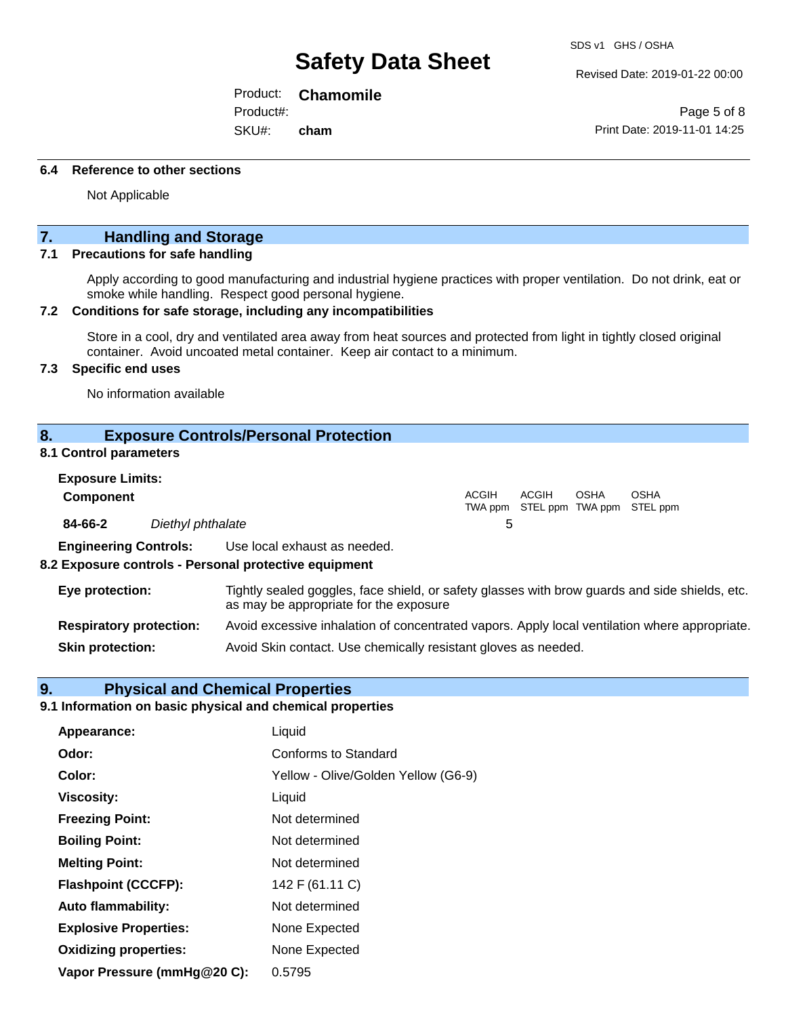Revised Date: 2019-01-22 00:00

Product: **Chamomile**

Product#:

SKU#: **cham**

Page 5 of 8 Print Date: 2019-11-01 14:25

#### **6.4 Reference to other sections**

Not Applicable

### **7. Handling and Storage**

#### **7.1 Precautions for safe handling**

Apply according to good manufacturing and industrial hygiene practices with proper ventilation. Do not drink, eat or smoke while handling. Respect good personal hygiene.

#### **7.2 Conditions for safe storage, including any incompatibilities**

Store in a cool, dry and ventilated area away from heat sources and protected from light in tightly closed original container. Avoid uncoated metal container. Keep air contact to a minimum.

#### **7.3 Specific end uses**

No information available

#### **8. Exposure Controls/Personal Protection**

#### **8.1 Control parameters**

| <b>Exposure Limits:</b>      |                   |                              |       |                                            |      |             |
|------------------------------|-------------------|------------------------------|-------|--------------------------------------------|------|-------------|
| <b>Component</b>             |                   |                              | ACGIH | ACGIH<br>TWA ppm STEL ppm TWA ppm STEL ppm | OSHA | <b>OSHA</b> |
| 84-66-2                      | Diethyl phthalate |                              |       |                                            |      |             |
| <b>Engineering Controls:</b> |                   | Use local exhaust as needed. |       |                                            |      |             |

#### **8.2 Exposure controls - Personal protective equipment**

| Eye protection:                | Tightly sealed goggles, face shield, or safety glasses with brow guards and side shields, etc.<br>as may be appropriate for the exposure |
|--------------------------------|------------------------------------------------------------------------------------------------------------------------------------------|
| <b>Respiratory protection:</b> | Avoid excessive inhalation of concentrated vapors. Apply local ventilation where appropriate.                                            |
| <b>Skin protection:</b>        | Avoid Skin contact. Use chemically resistant gloves as needed.                                                                           |

#### **9. Physical and Chemical Properties**

#### **9.1 Information on basic physical and chemical properties**

| Appearance:                  | Liquid                              |
|------------------------------|-------------------------------------|
| Odor:                        | <b>Conforms to Standard</b>         |
| Color:                       | Yellow - Olive/Golden Yellow (G6-9) |
| <b>Viscosity:</b>            | Liquid                              |
| <b>Freezing Point:</b>       | Not determined                      |
| <b>Boiling Point:</b>        | Not determined                      |
| <b>Melting Point:</b>        | Not determined                      |
| <b>Flashpoint (CCCFP):</b>   | 142 F (61.11 C)                     |
| <b>Auto flammability:</b>    | Not determined                      |
| <b>Explosive Properties:</b> | None Expected                       |
| <b>Oxidizing properties:</b> | None Expected                       |
| Vapor Pressure (mmHg@20 C):  | 0.5795                              |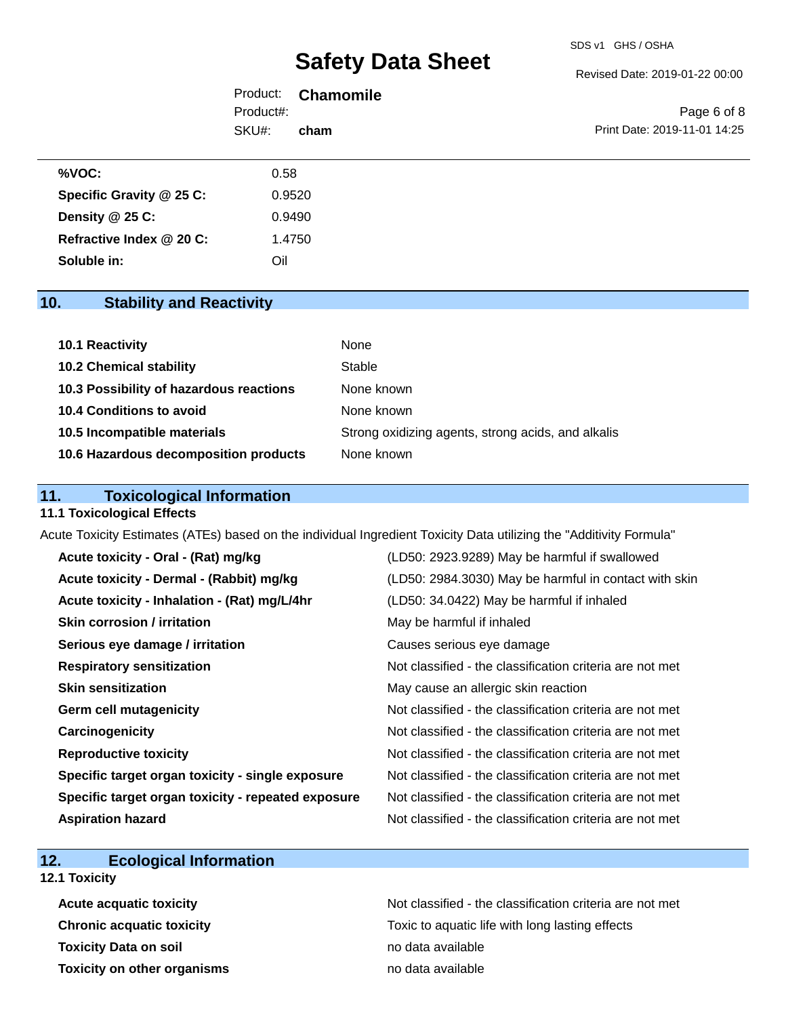#### Revised Date: 2019-01-22 00:00

|           | Product: <b>Chamomile</b> |                              |
|-----------|---------------------------|------------------------------|
| Product#: |                           | Page 6 of 8                  |
| SKU#:     | cham                      | Print Date: 2019-11-01 14:25 |

| %VOC:                    | 0.58   |
|--------------------------|--------|
| Specific Gravity @ 25 C: | 0.9520 |
| Density @ 25 C:          | 0.9490 |
| Refractive Index @ 20 C: | 1.4750 |
| Soluble in:              | Oil    |

## **10. Stability and Reactivity**

| 10.1 Reactivity                         | None                                               |
|-----------------------------------------|----------------------------------------------------|
| <b>10.2 Chemical stability</b>          | Stable                                             |
| 10.3 Possibility of hazardous reactions | None known                                         |
| 10.4 Conditions to avoid                | None known                                         |
| 10.5 Incompatible materials             | Strong oxidizing agents, strong acids, and alkalis |
| 10.6 Hazardous decomposition products   | None known                                         |

## **11. Toxicological Information**

#### **11.1 Toxicological Effects**

Acute Toxicity Estimates (ATEs) based on the individual Ingredient Toxicity Data utilizing the "Additivity Formula"

| Acute toxicity - Oral - (Rat) mg/kg                | (LD50: 2923.9289) May be harmful if swallowed            |
|----------------------------------------------------|----------------------------------------------------------|
| Acute toxicity - Dermal - (Rabbit) mg/kg           | (LD50: 2984.3030) May be harmful in contact with skin    |
| Acute toxicity - Inhalation - (Rat) mg/L/4hr       | (LD50: 34.0422) May be harmful if inhaled                |
| Skin corrosion / irritation                        | May be harmful if inhaled                                |
| Serious eye damage / irritation                    | Causes serious eye damage                                |
| <b>Respiratory sensitization</b>                   | Not classified - the classification criteria are not met |
| <b>Skin sensitization</b>                          | May cause an allergic skin reaction                      |
| <b>Germ cell mutagenicity</b>                      | Not classified - the classification criteria are not met |
| Carcinogenicity                                    | Not classified - the classification criteria are not met |
| <b>Reproductive toxicity</b>                       | Not classified - the classification criteria are not met |
| Specific target organ toxicity - single exposure   | Not classified - the classification criteria are not met |
| Specific target organ toxicity - repeated exposure | Not classified - the classification criteria are not met |
| <b>Aspiration hazard</b>                           | Not classified - the classification criteria are not met |

## **12. Ecological Information**

### **12.1 Toxicity**

| <b>Acute acquatic toxicity</b>     |  |
|------------------------------------|--|
| <b>Chronic acquatic toxicity</b>   |  |
| <b>Toxicity Data on soil</b>       |  |
| <b>Toxicity on other organisms</b> |  |

Not classified - the classification criteria are not met Toxic to aquatic life with long lasting effects **Toxicity Data on soil** no data available **Toxicity on other organisms** no data available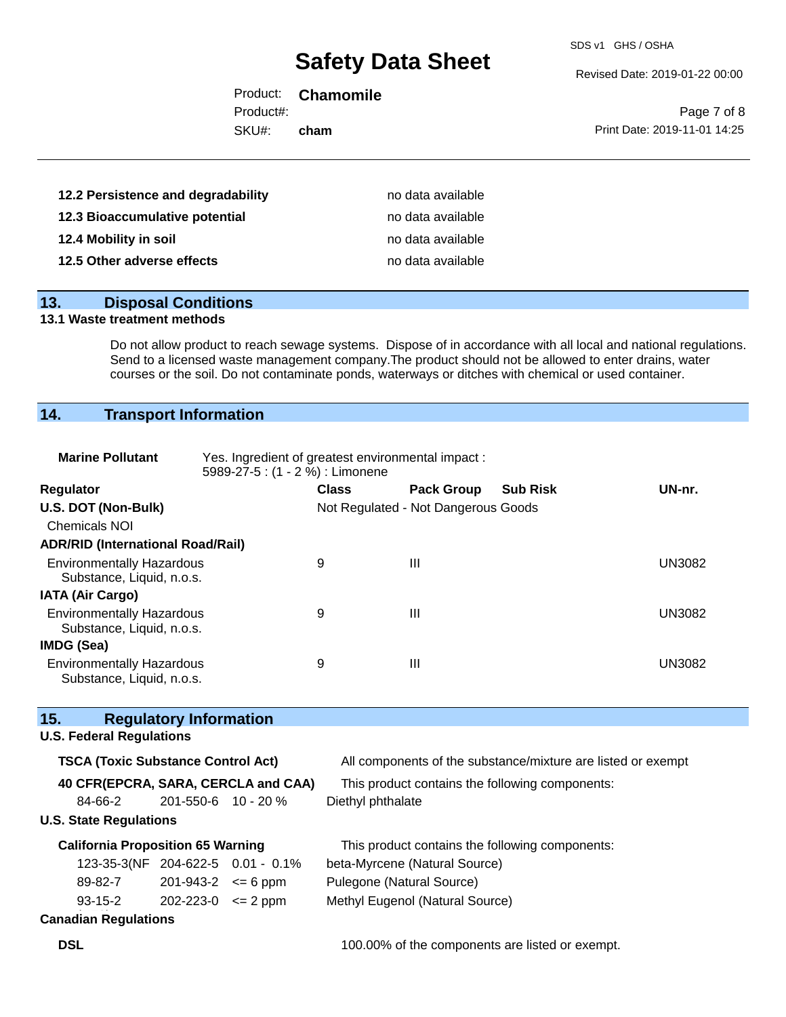SDS v1 GHS / OSHA

Revised Date: 2019-01-22 00:00

|           | Product: <b>Chamomile</b> |                              |
|-----------|---------------------------|------------------------------|
| Product#: |                           | Page 7 of 8                  |
| SKU#:     | cham                      | Print Date: 2019-11-01 14:25 |
|           |                           |                              |

| 12.2 Persistence and degradability | no data available |
|------------------------------------|-------------------|
| 12.3 Bioaccumulative potential     | no data available |
| 12.4 Mobility in soil              | no data available |
| 12.5 Other adverse effects         | no data available |

#### **13. Disposal Conditions**

#### **13.1 Waste treatment methods**

Do not allow product to reach sewage systems. Dispose of in accordance with all local and national regulations. Send to a licensed waste management company.The product should not be allowed to enter drains, water courses or the soil. Do not contaminate ponds, waterways or ditches with chemical or used container.

## **14. Transport Information**

| <b>Marine Pollutant</b>                                       | Yes. Ingredient of greatest environmental impact:<br>5989-27-5 : (1 - 2 %) : Limonene |              |                                     |                 |               |
|---------------------------------------------------------------|---------------------------------------------------------------------------------------|--------------|-------------------------------------|-----------------|---------------|
| <b>Regulator</b>                                              |                                                                                       | <b>Class</b> | <b>Pack Group</b>                   | <b>Sub Risk</b> | UN-nr.        |
| U.S. DOT (Non-Bulk)                                           |                                                                                       |              | Not Regulated - Not Dangerous Goods |                 |               |
| <b>Chemicals NOI</b>                                          |                                                                                       |              |                                     |                 |               |
| <b>ADR/RID (International Road/Rail)</b>                      |                                                                                       |              |                                     |                 |               |
| <b>Environmentally Hazardous</b><br>Substance, Liquid, n.o.s. |                                                                                       | 9            | Ш                                   |                 | <b>UN3082</b> |
| <b>IATA (Air Cargo)</b>                                       |                                                                                       |              |                                     |                 |               |
| <b>Environmentally Hazardous</b><br>Substance, Liquid, n.o.s. |                                                                                       | 9            | Ш                                   |                 | <b>UN3082</b> |
| <b>IMDG (Sea)</b>                                             |                                                                                       |              |                                     |                 |               |
| <b>Environmentally Hazardous</b><br>Substance, Liquid, n.o.s. |                                                                                       | 9            | Ш                                   |                 | <b>UN3082</b> |

# **15. Regulatory Information**

#### **U.S. Federal Regulations**

| <b>TSCA (Toxic Substance Control Act)</b> |                                    |                                   | All components of the substance/mixture are listed or exempt |
|-------------------------------------------|------------------------------------|-----------------------------------|--------------------------------------------------------------|
| 40 CFR(EPCRA, SARA, CERCLA and CAA)       |                                    |                                   | This product contains the following components:              |
| 84-66-2                                   | $201 - 550 - 6$ 10 - 20 %          |                                   | Diethyl phthalate                                            |
| <b>U.S. State Regulations</b>             |                                    |                                   |                                                              |
| <b>California Proposition 65 Warning</b>  |                                    |                                   | This product contains the following components:              |
|                                           |                                    | 123-35-3(NF 204-622-5 0.01 - 0.1% | beta-Myrcene (Natural Source)                                |
| 89-82-7                                   | $201 - 943 - 2 \leq 6$ ppm         |                                   | Pulegone (Natural Source)                                    |
| 93-15-2                                   | $202 - 223 - 0 \leq 2 \text{ ppm}$ |                                   | Methyl Eugenol (Natural Source)                              |
| <b>Canadian Regulations</b>               |                                    |                                   |                                                              |

**DSL DSL 100.00%** of the components are listed or exempt.